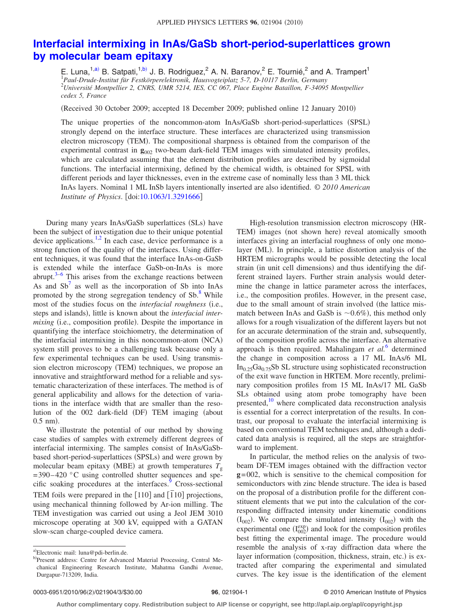## **[Interfacial intermixing in InAs/GaSb short-period-superlattices grown](http://dx.doi.org/10.1063/1.3291666) [by molecular beam epitaxy](http://dx.doi.org/10.1063/1.3291666)**

E. Luna,<sup>1[,a](#page-0-0))</sup> B. Satpati,<sup>1[,b](#page-0-1))</sup> J. B. Rodriguez,<sup>2</sup> A. N. Baranov,<sup>2</sup> E. Tournié,<sup>2</sup> and A. Trampert<sup>1</sup> 1 *Paul-Drude-Institut für Festkörperelektronik, Hausvogteiplatz 5-7, D-10117 Berlin, Germany* 2 *Université Montpellier 2, CNRS, UMR 5214, IES, CC 067, Place Eugène Bataillon, F-34095 Montpellier cedex 5, France*

(Received 30 October 2009; accepted 18 December 2009; published online 12 January 2010)

The unique properties of the noncommon-atom InAs/GaSb short-period-superlattices (SPSL) strongly depend on the interface structure. These interfaces are characterized using transmission electron microscopy (TEM). The compositional sharpness is obtained from the comparison of the experimental contrast in  $\mathbf{g}_{002}$  two-beam dark-field TEM images with simulated intensity profiles, which are calculated assuming that the element distribution profiles are described by sigmoidal functions. The interfacial intermixing, defined by the chemical width, is obtained for SPSL with different periods and layer thicknesses, even in the extreme case of nominally less than 3 ML thick InAs layers. Nominal 1 ML InSb layers intentionally inserted are also identified. © *2010 American Institute of Physics.* [doi[:10.1063/1.3291666](http://dx.doi.org/10.1063/1.3291666)]

During many years InAs/GaSb superlattices (SLs) have been the subject of investigation due to their unique potential device applications.<sup>1[,2](#page-2-1)</sup> In each case, device performance is a strong function of the quality of the interfaces. Using different techniques, it was found that the interface InAs-on-GaSb is extended while the interface GaSb-on-InAs is more abrupt. $3-6$  This arises from the exchange reactions between As and  $Sb^7$  as well as the incorporation of Sb into InAs promoted by the strong segregation tendency of Sb.<sup>8</sup> While most of the studies focus on the *interfacial roughness* (i.e., steps and islands), little is known about the *interfacial inter*mixing (i.e., composition profile). Despite the importance in quantifying the interface stoichiometry, the determination of the interfacial intermixing in this noncommon-atom (NCA) system still proves to be a challenging task because only a few experimental techniques can be used. Using transmission electron microscopy (TEM) techniques, we propose an innovative and straightforward method for a reliable and systematic characterization of these interfaces. The method is of general applicability and allows for the detection of variations in the interface width that are smaller than the resolution of the 002 dark-field (DF) TEM imaging (about  $0.5$  nm).

We illustrate the potential of our method by showing case studies of samples with extremely different degrees of interfacial intermixing. The samples consist of InAs/GaSbbased short-period-superlattices (SPSLs) and were grown by molecular beam epitaxy (MBE) at growth temperatures  $T_{\text{g}}$  $= 390 - 420$  °C using controlled shutter sequences and specific soaking procedures at the interfaces.<sup>9</sup> Cross-sectional TEM foils were prepared in the  $[110]$  and  $[110]$  projections, using mechanical thinning followed by Ar-ion milling. The TEM investigation was carried out using a Jeol JEM 3010 microscope operating at 300 kV, equipped with a GATAN slow-scan charge-coupled device camera.

High-resolution transmission electron microscopy HR-TEM) images (not shown here) reveal atomically smooth interfaces giving an interfacial roughness of only one monolayer (ML). In principle, a lattice distortion analysis of the HRTEM micrographs would be possible detecting the local strain (in unit cell dimensions) and thus identifying the different strained layers. Further strain analysis would determine the change in lattice parameter across the interfaces, i.e., the composition profiles. However, in the present case, due to the small amount of strain involved (the lattice mismatch between InAs and GaSb is  $\sim 0.6\%$ ), this method only allows for a rough visualization of the different layers but not for an accurate determination of the strain and, subsequently, of the composition profile across the interface. An alternative approach is then required. Mahalingam *et al.*[6](#page-2-3) determined the change in composition across a 17 ML InAs/6 ML  $In_{0.25}Ga_{0.75}Sb$  SL structure using sophisticated reconstruction of the exit wave function in HRTEM. More recently, preliminary composition profiles from 15 ML InAs/17 ML GaSb SLs obtained using atom probe tomography have been presented,<sup>10</sup> where complicated data reconstruction analysis is essential for a correct interpretation of the results. In contrast, our proposal to evaluate the interfacial intermixing is based on conventional TEM techniques and, although a dedicated data analysis is required, all the steps are straightforward to implement.

In particular, the method relies on the analysis of twobeam DF-TEM images obtained with the diffraction vector **g**= 002, which is sensitive to the chemical composition for semiconductors with zinc blende structure. The idea is based on the proposal of a distribution profile for the different constituent elements that we put into the calculation of the corresponding diffracted intensity under kinematic conditions  $(I_{002})$ . We compare the simulated intensity  $(I_{002})$  with the experimental one  $(I_{002}^{exp})$  and look for the composition profiles best fitting the experimental image. The procedure would resemble the analysis of x-ray diffraction data where the layer information (composition, thickness, strain, etc.) is extracted after comparing the experimental and simulated curves. The key issue is the identification of the element

<span id="page-0-1"></span><span id="page-0-0"></span>a)Electronic mail: luna@pdi-berlin.de.

b)Present address: Centre for Advanced Material Processing, Central Mechanical Engineering Research Institute, Mahatma Gandhi Avenue, Durgapur-713209, India.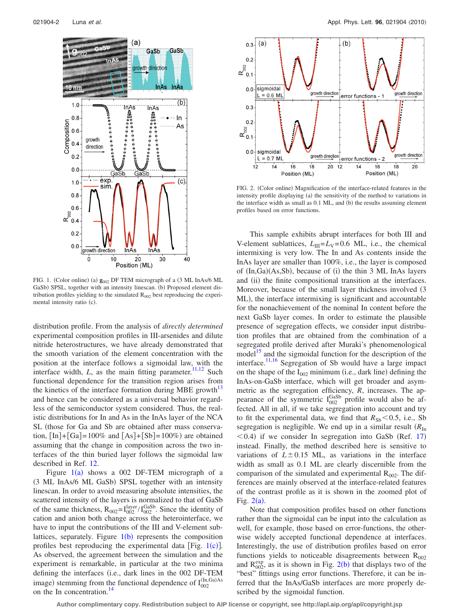<span id="page-1-0"></span>

FIG. 1. (Color online) (a)  $\mathbf{g}_{002}$  DF TEM micrograph of a (3 ML InAs/6 ML GaSb) SPSL, together with an intensity linescan. (b) Proposed element distribution profiles yielding to the simulated  $R_{002}$  best reproducing the experimental intensity ratio (c).

distribution profile. From the analysis of *directly determined* experimental composition profiles in III-arsenides and dilute nitride heterostructures, we have already demonstrated that the smooth variation of the element concentration with the position at the interface follows a sigmoidal law, with the interface width,  $L$ , as the main fitting parameter.<sup>11[,12](#page-2-9)</sup> Such functional dependence for the transition region arises from the kinetics of the interface formation during MBE growth<sup>13</sup> and hence can be considered as a universal behavior regardless of the semiconductor system considered. Thus, the realistic distributions for In and As in the InAs layer of the NCA SL (those for Ga and Sb are obtained after mass conservation,  $\text{[In]} + \text{[Ga]} = 100\%$  and  $\text{[As]} + \text{[Sb]} = 100\%$  are obtained assuming that the change in composition across the two interfaces of the thin buried layer follows the sigmoidal law described in Ref. [12.](#page-2-9)

Figure  $1(a)$  $1(a)$  shows a 002 DF-TEM micrograph of a (3 ML InAs/6 ML GaSb) SPSL together with an intensity linescan. In order to avoid measuring absolute intensities, the scattered intensity of the layers is normalized to that of GaSb of the same thickness,  $R_{002} = I_{002}^{\text{layer}} / I_{002}^{\text{Gasb}}$ . Since the identity of cation and anion both change across the heterointerface, we have to input the contributions of the III and V-element sublattices, separately. Figure  $1(b)$  $1(b)$  represents the composition profiles best reproducing the experimental data [Fig.  $1(c)$  $1(c)$ ]. As observed, the agreement between the simulation and the experiment is remarkable, in particular at the two minima defining the interfaces (i.e., dark lines in the 002 DF-TEM image) stemming from the functional dependence of  $I_{002}^{(In,Ga)As}$ on the In concentration.<sup>14</sup>

<span id="page-1-1"></span>

FIG. 2. (Color online) Magnification of the interface-related features in the intensity profile displaying (a) the sensitivity of the method to variations in the interface width as small as 0.1 ML, and (b) the results assuming element profiles based on error functions.

This sample exhibits abrupt interfaces for both III and V-element sublattices,  $L_{III} = L_V = 0.6$  ML, i.e., the chemical intermixing is very low. The In and As contents inside the InAs layer are smaller than 100%, i.e., the layer is composed of (In,Ga)(As,Sb), because of (i) the thin 3 ML InAs layers and (ii) the finite compositional transition at the interfaces. Moreover, because of the small layer thickness involved (3) ML), the interface intermixing is significant and accountable for the nonachievement of the nominal In content before the next GaSb layer comes. In order to estimate the plausible presence of segregation effects, we consider input distribution profiles that are obtained from the combination of a segregated profile derived after Muraki's phenomenological model<sup>15</sup> and the sigmoidal function for the description of the interface.<sup>11[,16](#page-2-13)</sup> Segregation of Sb would have a large impact on the shape of the  $I_{002}$  minimum (i.e., dark line) defining the InAs-on-GaSb interface, which will get broader and asymmetric as the segregation efficiency, *R*, increases. The appearance of the symmetric  $I_{002}^{\text{GaSb}}$  profile would also be affected. All in all, if we take segregation into account and try to fit the experimental data, we find that  $R_{\rm Sb}$  < 0.5, i.e., Sb segregation is negligible. We end up in a similar result  $(R<sub>In</sub>)$  $<$  0.4) if we consider In segregation into GaSb (Ref. [17](#page-2-14)) instead. Finally, the method described here is sensitive to variations of  $L \pm 0.15$  ML, as variations in the interface width as small as 0.1 ML are clearly discernible from the comparison of the simulated and experimental  $R_{002}$ . The differences are mainly observed at the interface-related features of the contrast profile as it is shown in the zoomed plot of Fig.  $2(a)$  $2(a)$ .

Note that composition profiles based on other functions rather than the sigmoidal can be input into the calculation as well, for example, those based on error-functions, the otherwise widely accepted functional dependence at interfaces. Interestingly, the use of distribution profiles based on error functions yields to noticeable disagreements between  $R_{002}$ and  $R_{002}^{exp}$  $R_{002}^{exp}$  $R_{002}^{exp}$ , as it is shown in Fig. 2(b) that displays two of the "best" fittings using error functions. Therefore, it can be inferred that the InAs/GaSb interfaces are more properly described by the sigmoidal function.

**Author complimentary copy. Redistribution subject to AIP license or copyright, see http://apl.aip.org/apl/copyright.jsp**